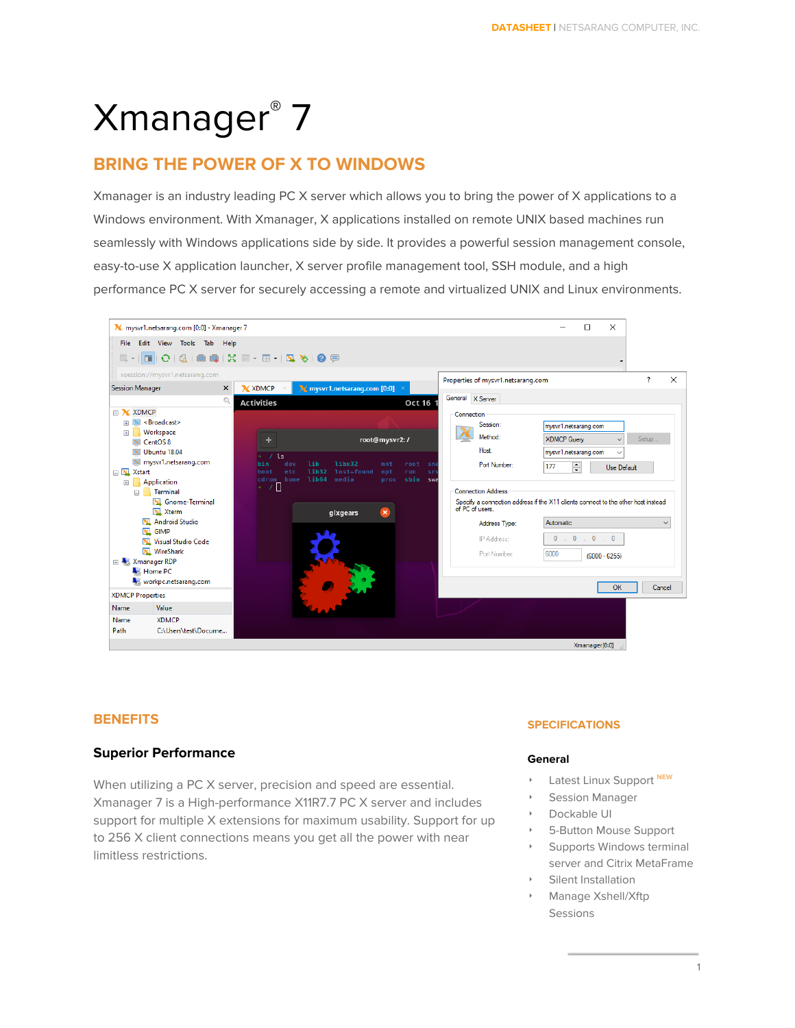# Xmanager ® 7

# **BRING THE POWER OF X TO WINDOWS**

Xmanager is an industry leading PC X server which allows you to bring the power of X applications to a Windows environment. With Xmanager, X applications installed on remote UNIX based machines run seamlessly with Windows applications side by side. It provides a powerful session management console, easy-to-use X application launcher, X server profile management tool, SSH module, and a high performance PC X server for securely accessing a remote and virtualized UNIX and Linux environments.



## **BENEFITS**

## **Superior Performance**

When utilizing a PC X server, precision and speed are essential. Xmanager 7 is a High-performance X11R7.7 PC X server and includes support for multiple X extensions for maximum usability. Support for up to 256 X client connections means you get all the power with near limitless restrictions.

### **SPECIFICATIONS**

#### **General**

- ‣ Latest Linux Support **NEW**
- Session Manager
- Dockable UI
- ‣ 5-Button Mouse Support
- Supports Windows terminal server and Citrix MetaFrame
- Silent Installation
- ‣ Manage Xshell/Xftp Sessions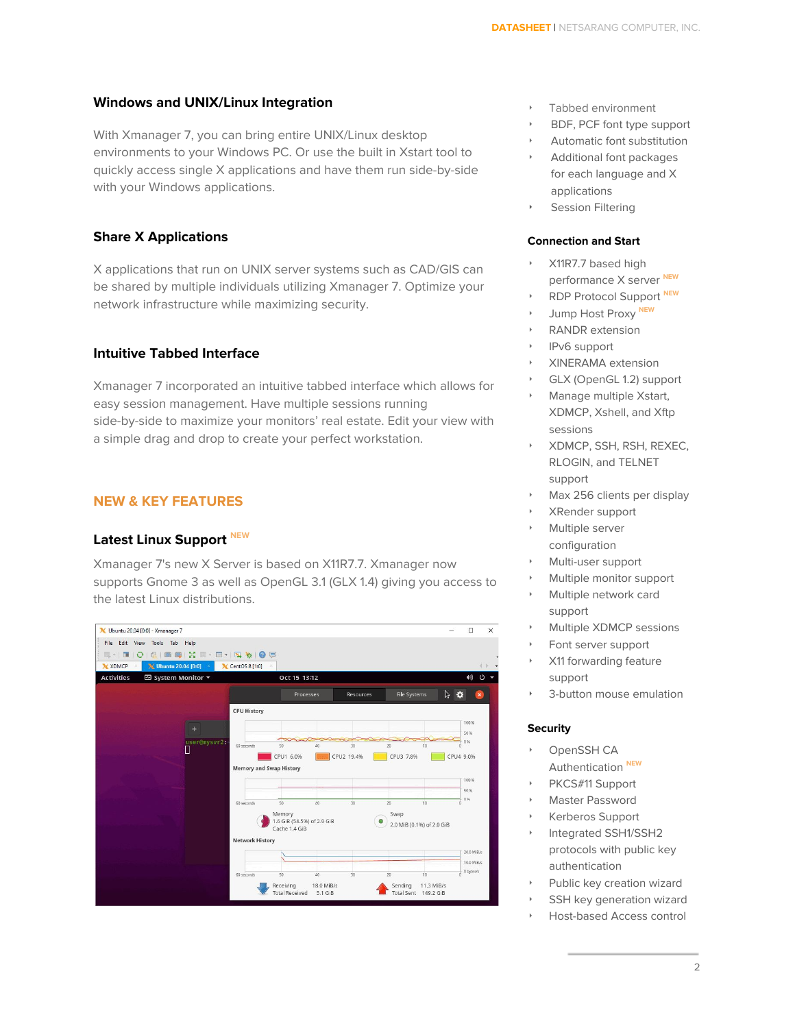#### **Windows and UNIX/Linux Integration**

With Xmanager 7, you can bring entire UNIX/Linux desktop environments to your Windows PC. Or use the built in Xstart tool to quickly access single X applications and have them run side-by-side with your Windows applications.

## **Share X Applications**

X applications that run on UNIX server systems such as CAD/GIS can be shared by multiple individuals utilizing Xmanager 7. Optimize your network infrastructure while maximizing security.

### **Intuitive Tabbed Interface**

Xmanager 7 incorporated an intuitive tabbed interface which allows for easy session management. Have multiple sessions running side-by-side to maximize your monitors' real estate. Edit your view with a simple drag and drop to create your perfect workstation.

## **NEW & KEY FEATURES**

## **Latest Linux Support NEW**

Xmanager 7's new X Server is based on X11R7.7. Xmanager now supports Gnome 3 as well as OpenGL 3.1 (GLX 1.4) giving you access to the latest Linux distributions.



- ‣ Tabbed environment
- ‣ BDF, PCF font type support
- ‣ Automatic font substitution
- ‣ Additional font packages for each language and X applications
- Session Filtering

#### **Connection and Start**

- ‣ X11R7.7 based high performance X server **NEW**
- ‣ RDP Protocol Support **NEW**
- ‣ Jump Host Proxy **NEW**
- ‣ RANDR extension
- ‣ IPv6 support
- ‣ XINERAMA extension
- ‣ GLX (OpenGL 1.2) support
- ‣ Manage multiple Xstart, XDMCP, Xshell, and Xftp sessions
- ‣ XDMCP, SSH, RSH, REXEC, RLOGIN, and TELNET support
- Max 256 clients per display
- ‣ XRender support
- Multiple server configuration
- ‣ Multi-user support
- ‣ Multiple monitor support
- ‣ Multiple network card support
- ‣ Multiple XDMCP sessions
- Font server support
- ‣ X11 forwarding feature support
- 3-button mouse emulation

#### **Security**

- OpenSSH CA Authentication **NEW**
- PKCS#11 Support
- Master Password
- ‣ Kerberos Support
- Integrated SSH1/SSH2 protocols with public key authentication
- Public key creation wizard
- SSH key generation wizard
- ‣ Host-based Access control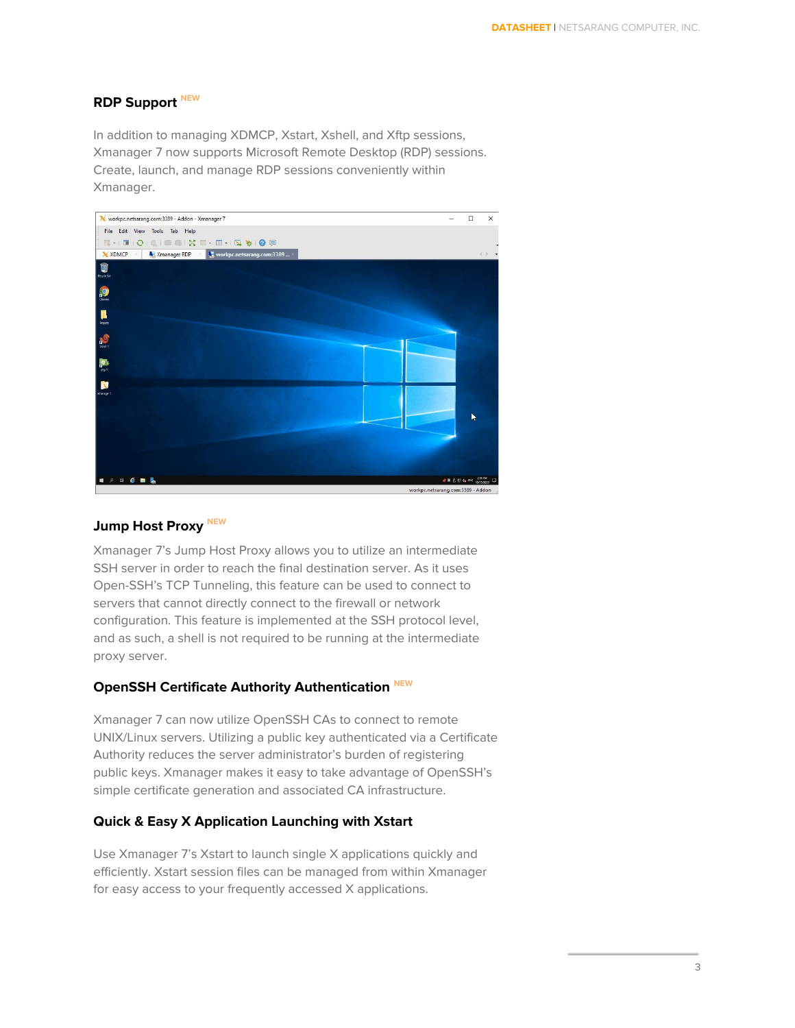## **RDP Support NEW**

In addition to managing XDMCP, Xstart, Xshell, and Xftp sessions, Xmanager 7 now supports Microsoft Remote Desktop (RDP) sessions. Create, launch, and manage RDP sessions conveniently within Xmanager.



## **Jump Host Proxy NEW**

Xmanager 7's Jump Host Proxy allows you to utilize an intermediate SSH server in order to reach the final destination server. As it uses Open-SSH's TCP Tunneling, this feature can be used to connect to servers that cannot directly connect to the firewall or network configuration. This feature is implemented at the SSH protocol level, and as such, a shell is not required to be running at the intermediate proxy server.

## **OpenSSH Certificate Authority Authentication NEW**

Xmanager 7 can now utilize OpenSSH CAs to connect to remote UNIX/Linux servers. Utilizing a public key authenticated via a Certificate Authority reduces the server administrator's burden of registering public keys. Xmanager makes it easy to take advantage of OpenSSH's simple certificate generation and associated CA infrastructure.

## **Quick & Easy X Application Launching with Xstart**

Use Xmanager 7's Xstart to launch single X applications quickly and efficiently. Xstart session files can be managed from within Xmanager for easy access to your frequently accessed X applications.